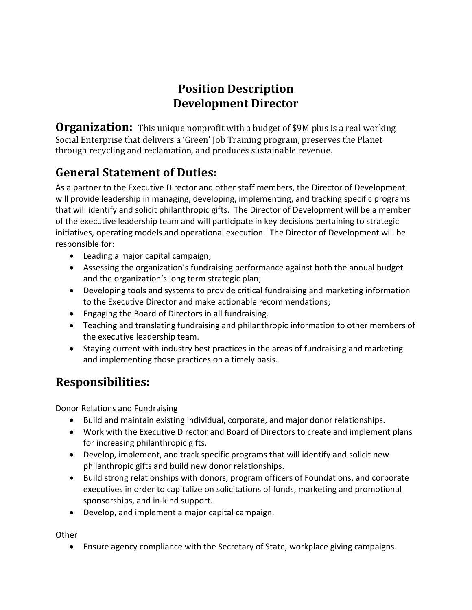# **Position Description Development Director**

**Organization:** This unique nonprofit with a budget of \$9M plus is a real working Social Enterprise that delivers a 'Green' Job Training program, preserves the Planet through recycling and reclamation, and produces sustainable revenue.

# **General Statement of Duties:**

As a partner to the Executive Director and other staff members, the Director of Development will provide leadership in managing, developing, implementing, and tracking specific programs that will identify and solicit philanthropic gifts. The Director of Development will be a member of the executive leadership team and will participate in key decisions pertaining to strategic initiatives, operating models and operational execution. The Director of Development will be responsible for:

- Leading a major capital campaign;
- Assessing the organization's fundraising performance against both the annual budget and the organization's long term strategic plan;
- Developing tools and systems to provide critical fundraising and marketing information to the Executive Director and make actionable recommendations;
- Engaging the Board of Directors in all fundraising.
- Teaching and translating fundraising and philanthropic information to other members of the executive leadership team.
- Staying current with industry best practices in the areas of fundraising and marketing and implementing those practices on a timely basis.

### **Responsibilities:**

Donor Relations and Fundraising

- Build and maintain existing individual, corporate, and major donor relationships.
- Work with the Executive Director and Board of Directors to create and implement plans for increasing philanthropic gifts.
- Develop, implement, and track specific programs that will identify and solicit new philanthropic gifts and build new donor relationships.
- Build strong relationships with donors, program officers of Foundations, and corporate executives in order to capitalize on solicitations of funds, marketing and promotional sponsorships, and in-kind support.
- Develop, and implement a major capital campaign.

**Other** 

Ensure agency compliance with the Secretary of State, workplace giving campaigns.